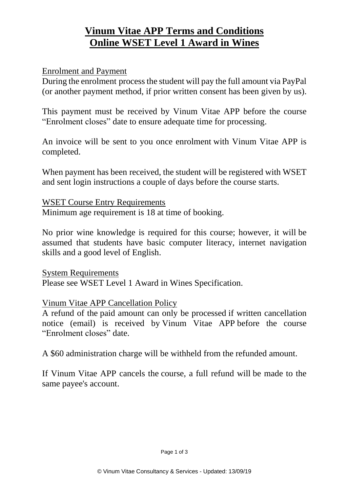# **Vinum Vitae APP Terms and Conditions Online WSET Level 1 Award in Wines**

#### Enrolment and Payment

During the enrolment process the student will pay the full amount via PayPal (or another payment method, if prior written consent has been given by us).

This payment must be received by Vinum Vitae APP before the course "Enrolment closes" date to ensure adequate time for processing.

An invoice will be sent to you once enrolment with Vinum Vitae APP is completed.

When payment has been received, the student will be registered with WSET and sent login instructions a couple of days before the course starts.

WSET Course Entry Requirements Minimum age requirement is 18 at time of booking.

No prior wine knowledge is required for this course; however, it will be assumed that students have basic computer literacy, internet navigation skills and a good level of English.

System Requirements Please see WSET Level 1 Award in Wines Specification.

#### Vinum Vitae APP Cancellation Policy

A refund of the paid amount can only be processed if written cancellation notice (email) is received by Vinum Vitae APP before the course "Enrolment closes" date.

A \$60 administration charge will be withheld from the refunded amount.

If Vinum Vitae APP cancels the course, a full refund will be made to the same payee's account.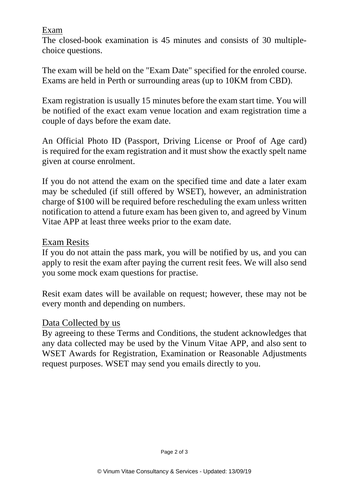### Exam

The closed-book examination is 45 minutes and consists of 30 multiplechoice questions.

The exam will be held on the "Exam Date" specified for the enroled course. Exams are held in Perth or surrounding areas (up to 10KM from CBD).

Exam registration is usually 15 minutes before the exam start time. You will be notified of the exact exam venue location and exam registration time a couple of days before the exam date.

An Official Photo ID (Passport, Driving License or Proof of Age card) is required for the exam registration and it must show the exactly spelt name given at course enrolment.

If you do not attend the exam on the specified time and date a later exam may be scheduled (if still offered by WSET), however, an administration charge of \$100 will be required before rescheduling the exam unless written notification to attend a future exam has been given to, and agreed by Vinum Vitae APP at least three weeks prior to the exam date.

## Exam Resits

If you do not attain the pass mark, you will be notified by us, and you can apply to resit the exam after paying the current resit fees. We will also send you some mock exam questions for practise.

Resit exam dates will be available on request; however, these may not be every month and depending on numbers.

#### Data Collected by us

By agreeing to these Terms and Conditions, the student acknowledges that any data collected may be used by the Vinum Vitae APP, and also sent to WSET Awards for Registration, Examination or Reasonable Adjustments request purposes. WSET may send you emails directly to you.